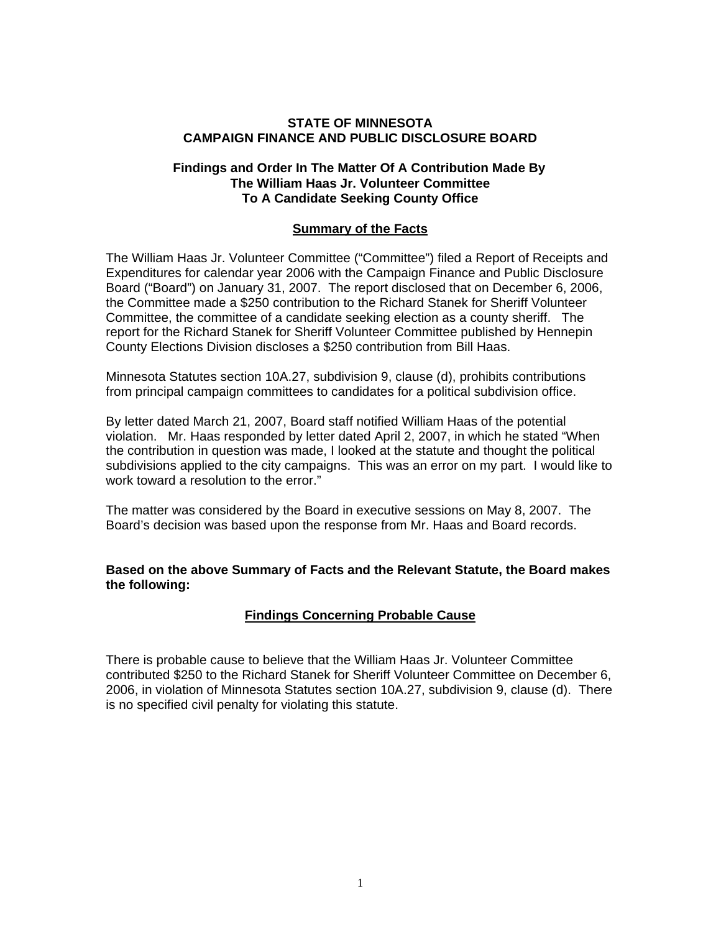# **STATE OF MINNESOTA CAMPAIGN FINANCE AND PUBLIC DISCLOSURE BOARD**

### **Findings and Order In The Matter Of A Contribution Made By The William Haas Jr. Volunteer Committee To A Candidate Seeking County Office**

### **Summary of the Facts**

The William Haas Jr. Volunteer Committee ("Committee") filed a Report of Receipts and Expenditures for calendar year 2006 with the Campaign Finance and Public Disclosure Board ("Board") on January 31, 2007. The report disclosed that on December 6, 2006, the Committee made a \$250 contribution to the Richard Stanek for Sheriff Volunteer Committee, the committee of a candidate seeking election as a county sheriff. The report for the Richard Stanek for Sheriff Volunteer Committee published by Hennepin County Elections Division discloses a \$250 contribution from Bill Haas.

Minnesota Statutes section 10A.27, subdivision 9, clause (d), prohibits contributions from principal campaign committees to candidates for a political subdivision office.

By letter dated March 21, 2007, Board staff notified William Haas of the potential violation. Mr. Haas responded by letter dated April 2, 2007, in which he stated "When the contribution in question was made, I looked at the statute and thought the political subdivisions applied to the city campaigns. This was an error on my part. I would like to work toward a resolution to the error."

The matter was considered by the Board in executive sessions on May 8, 2007. The Board's decision was based upon the response from Mr. Haas and Board records.

**Based on the above Summary of Facts and the Relevant Statute, the Board makes the following:** 

# **Findings Concerning Probable Cause**

There is probable cause to believe that the William Haas Jr. Volunteer Committee contributed \$250 to the Richard Stanek for Sheriff Volunteer Committee on December 6, 2006, in violation of Minnesota Statutes section 10A.27, subdivision 9, clause (d). There is no specified civil penalty for violating this statute.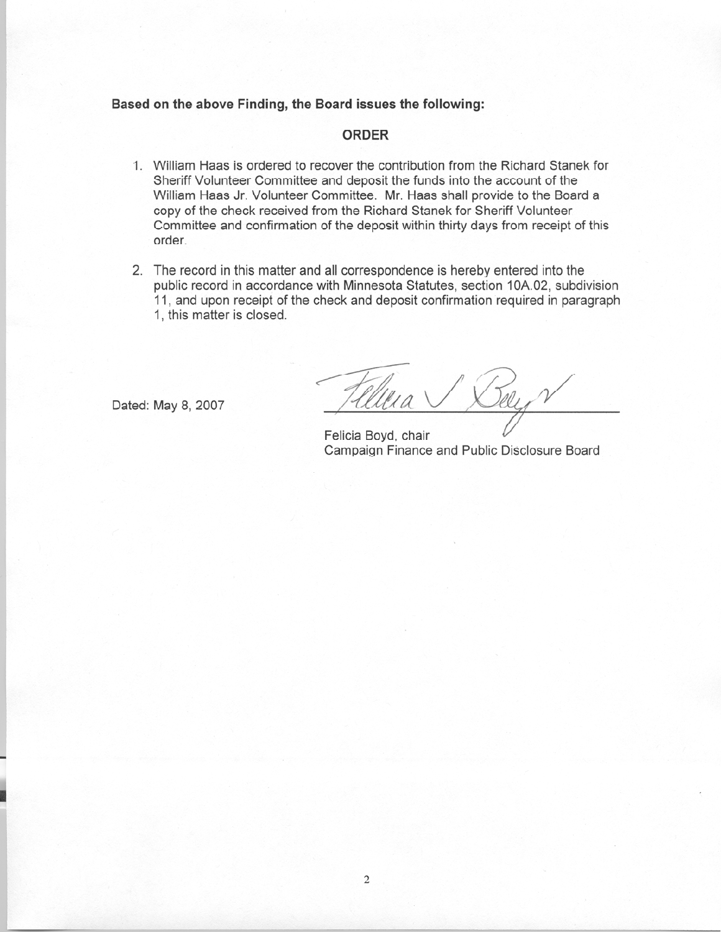#### Based on the above Finding, the Board issues the following:

#### **ORDER**

- 1. William Haas is ordered to recover the contribution from the Richard Stanek for Sheriff Volunteer Committee and deposit the funds into the account of the William Haas Jr. Volunteer Committee. Mr. Haas shall provide to the Board a copy of the check received from the Richard Stanek for Sheriff Volunteer Committee and confirmation of the deposit within thirty days from receipt of this order.
- 2. The record in this matter and all correspondence is hereby entered into the public record in accordance with Minnesota Statutes, section 10A.02, subdivision 11, and upon receipt of the check and deposit confirmation required in paragraph 1, this matter is closed.

Dated: May 8, 2007

Tely

Felicia Bovd, chair Campaign Finance and Public Disclosure Board